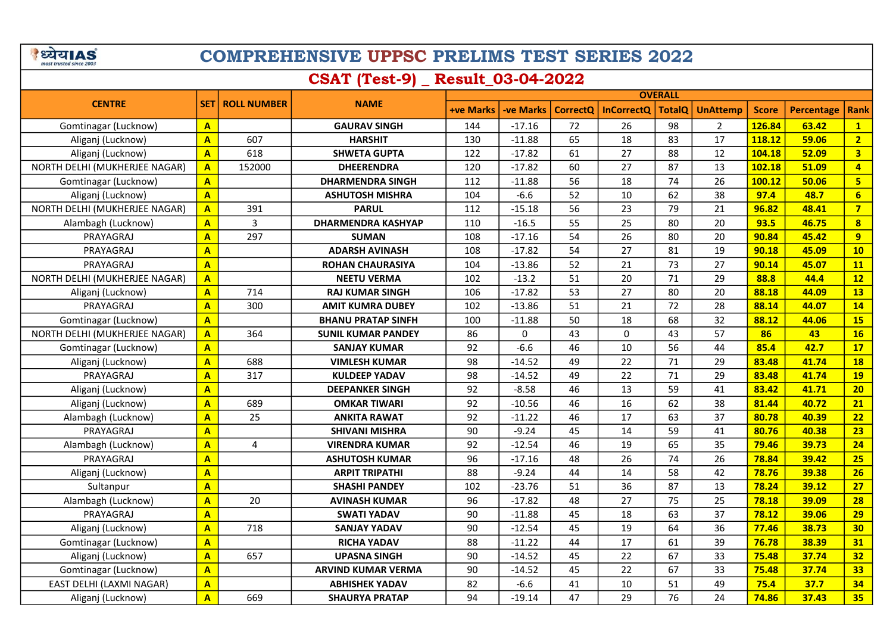े ध्येय AS

# COMPREHENSIVE UPPSC PRELIMS TEST SERIES 2022

## CSAT (Test-9) \_ Result\_03-04-2022

|                               |                         |                    |                           | <b>OVERALL</b>   |                 |                 |                   |               |                 |              |                   |                         |
|-------------------------------|-------------------------|--------------------|---------------------------|------------------|-----------------|-----------------|-------------------|---------------|-----------------|--------------|-------------------|-------------------------|
| <b>CENTRE</b>                 | <b>SET</b>              | <b>ROLL NUMBER</b> | <b>NAME</b>               | <b>+ve Marks</b> | <b>ve Marks</b> | <b>CorrectO</b> | <b>InCorrectQ</b> | <b>TotalO</b> | <b>UnAttemp</b> | <b>Score</b> | <b>Percentage</b> | <b>Rank</b>             |
| Gomtinagar (Lucknow)          | $\overline{\mathsf{A}}$ |                    | <b>GAURAV SINGH</b>       | 144              | $-17.16$        | 72              | 26                | 98            | $\overline{2}$  | 126.84       | 63.42             | $\mathbf{1}$            |
| Aliganj (Lucknow)             | A                       | 607                | <b>HARSHIT</b>            | 130              | $-11.88$        | 65              | 18                | 83            | 17              | 118.12       | 59.06             | 2 <sup>1</sup>          |
| Aliganj (Lucknow)             | A                       | 618                | <b>SHWETA GUPTA</b>       | 122              | $-17.82$        | 61              | 27                | 88            | 12              | 104.18       | 52.09             | $\overline{\mathbf{3}}$ |
| NORTH DELHI (MUKHERJEE NAGAR) | $\overline{\mathbf{A}}$ | 152000             | <b>DHEERENDRA</b>         | 120              | $-17.82$        | 60              | 27                | 87            | 13              | 102.18       | 51.09             | $\overline{4}$          |
| Gomtinagar (Lucknow)          | A                       |                    | <b>DHARMENDRA SINGH</b>   | 112              | $-11.88$        | 56              | 18                | 74            | 26              | 100.12       | 50.06             | 5 <sup>1</sup>          |
| Aliganj (Lucknow)             | A                       |                    | <b>ASHUTOSH MISHRA</b>    | 104              | $-6.6$          | 52              | 10                | 62            | 38              | 97.4         | 48.7              | 6 <sup>1</sup>          |
| NORTH DELHI (MUKHERJEE NAGAR) | A                       | 391                | <b>PARUL</b>              | 112              | $-15.18$        | 56              | 23                | 79            | 21              | 96.82        | 48.41             | $\overline{7}$          |
| Alambagh (Lucknow)            | $\overline{\mathbf{A}}$ | 3                  | <b>DHARMENDRA KASHYAP</b> | 110              | $-16.5$         | 55              | 25                | 80            | 20              | 93.5         | 46.75             | $\overline{\mathbf{8}}$ |
| PRAYAGRAJ                     | A                       | 297                | <b>SUMAN</b>              | 108              | $-17.16$        | 54              | 26                | 80            | 20              | 90.84        | 45.42             | 9                       |
| PRAYAGRAJ                     | A                       |                    | <b>ADARSH AVINASH</b>     | 108              | $-17.82$        | 54              | 27                | 81            | 19              | 90.18        | 45.09             | 10                      |
| PRAYAGRAJ                     | $\overline{\mathbf{A}}$ |                    | <b>ROHAN CHAURASIYA</b>   | 104              | $-13.86$        | 52              | 21                | 73            | 27              | 90.14        | 45.07             | <b>11</b>               |
| NORTH DELHI (MUKHERJEE NAGAR) | $\overline{\mathbf{A}}$ |                    | <b>NEETU VERMA</b>        | 102              | $-13.2$         | 51              | 20                | 71            | 29              | 88.8         | 44.4              | 12                      |
| Aliganj (Lucknow)             | $\overline{A}$          | 714                | <b>RAJ KUMAR SINGH</b>    | 106              | $-17.82$        | 53              | 27                | 80            | 20              | 88.18        | 44.09             | 13                      |
| PRAYAGRAJ                     | A                       | 300                | <b>AMIT KUMRA DUBEY</b>   | 102              | $-13.86$        | 51              | 21                | 72            | 28              | 88.14        | 44.07             | 14                      |
| Gomtinagar (Lucknow)          | $\overline{\mathbf{A}}$ |                    | <b>BHANU PRATAP SINFH</b> | 100              | $-11.88$        | 50              | 18                | 68            | 32              | 88.12        | 44.06             | <b>15</b>               |
| NORTH DELHI (MUKHERJEE NAGAR) | $\overline{\mathbf{A}}$ | 364                | <b>SUNIL KUMAR PANDEY</b> | 86               | 0               | 43              | $\mathbf 0$       | 43            | 57              | 86           | 43                | 16                      |
| Gomtinagar (Lucknow)          | $\overline{\mathsf{A}}$ |                    | <b>SANJAY KUMAR</b>       | 92               | $-6.6$          | 46              | 10                | 56            | 44              | 85.4         | 42.7              | 17                      |
| Aliganj (Lucknow)             | A                       | 688                | <b>VIMLESH KUMAR</b>      | 98               | $-14.52$        | 49              | 22                | 71            | 29              | 83.48        | 41.74             | <b>18</b>               |
| PRAYAGRAJ                     | A                       | 317                | <b>KULDEEP YADAV</b>      | 98               | $-14.52$        | 49              | 22                | 71            | 29              | 83.48        | 41.74             | <b>19</b>               |
| Aliganj (Lucknow)             | $\overline{\mathbf{A}}$ |                    | <b>DEEPANKER SINGH</b>    | 92               | $-8.58$         | 46              | 13                | 59            | 41              | 83.42        | 41.71             | 20                      |
| Aliganj (Lucknow)             | A                       | 689                | <b>OMKAR TIWARI</b>       | 92               | $-10.56$        | 46              | 16                | 62            | 38              | 81.44        | 40.72             | 21                      |
| Alambagh (Lucknow)            | A                       | 25                 | <b>ANKITA RAWAT</b>       | 92               | $-11.22$        | 46              | 17                | 63            | 37              | 80.78        | 40.39             | 22                      |
| PRAYAGRAJ                     | $\overline{\mathbf{A}}$ |                    | <b>SHIVANI MISHRA</b>     | 90               | $-9.24$         | 45              | 14                | 59            | 41              | 80.76        | 40.38             | 23                      |
| Alambagh (Lucknow)            | A                       | 4                  | <b>VIRENDRA KUMAR</b>     | 92               | $-12.54$        | 46              | 19                | 65            | 35              | 79.46        | 39.73             | 24                      |
| PRAYAGRAJ                     | $\overline{\mathsf{A}}$ |                    | <b>ASHUTOSH KUMAR</b>     | 96               | $-17.16$        | 48              | 26                | 74            | 26              | 78.84        | 39.42             | 25                      |
| Aliganj (Lucknow)             | $\overline{\mathbf{A}}$ |                    | <b>ARPIT TRIPATHI</b>     | 88               | $-9.24$         | 44              | 14                | 58            | 42              | 78.76        | 39.38             | 26                      |
| Sultanpur                     | A                       |                    | <b>SHASHI PANDEY</b>      | 102              | $-23.76$        | 51              | 36                | 87            | 13              | 78.24        | 39.12             | 27                      |
| Alambagh (Lucknow)            | A                       | 20                 | <b>AVINASH KUMAR</b>      | 96               | $-17.82$        | 48              | 27                | 75            | 25              | 78.18        | 39.09             | 28                      |
| PRAYAGRAJ                     | A                       |                    | <b>SWATI YADAV</b>        | 90               | $-11.88$        | 45              | 18                | 63            | 37              | 78.12        | 39.06             | 29                      |
| Aliganj (Lucknow)             | $\overline{\mathsf{A}}$ | 718                | <b>SANJAY YADAV</b>       | 90               | $-12.54$        | 45              | 19                | 64            | 36              | 77.46        | 38.73             | 30                      |
| Gomtinagar (Lucknow)          | A                       |                    | <b>RICHA YADAV</b>        | 88               | $-11.22$        | 44              | 17                | 61            | 39              | 76.78        | 38.39             | 31                      |
| Aliganj (Lucknow)             | A                       | 657                | <b>UPASNA SINGH</b>       | 90               | $-14.52$        | 45              | 22                | 67            | 33              | 75.48        | 37.74             | 32                      |
| Gomtinagar (Lucknow)          | $\overline{\mathbf{A}}$ |                    | <b>ARVIND KUMAR VERMA</b> | 90               | $-14.52$        | 45              | 22                | 67            | 33              | 75.48        | 37.74             | 33                      |
| EAST DELHI (LAXMI NAGAR)      | $\overline{\mathsf{A}}$ |                    | <b>ABHISHEK YADAV</b>     | 82               | $-6.6$          | 41              | 10                | 51            | 49              | 75.4         | 37.7              | 34                      |
| Aliganj (Lucknow)             | $\overline{\mathbf{A}}$ | 669                | <b>SHAURYA PRATAP</b>     | 94               | $-19.14$        | 47              | 29                | 76            | 24              | 74.86        | 37.43             | 35 <sub>2</sub>         |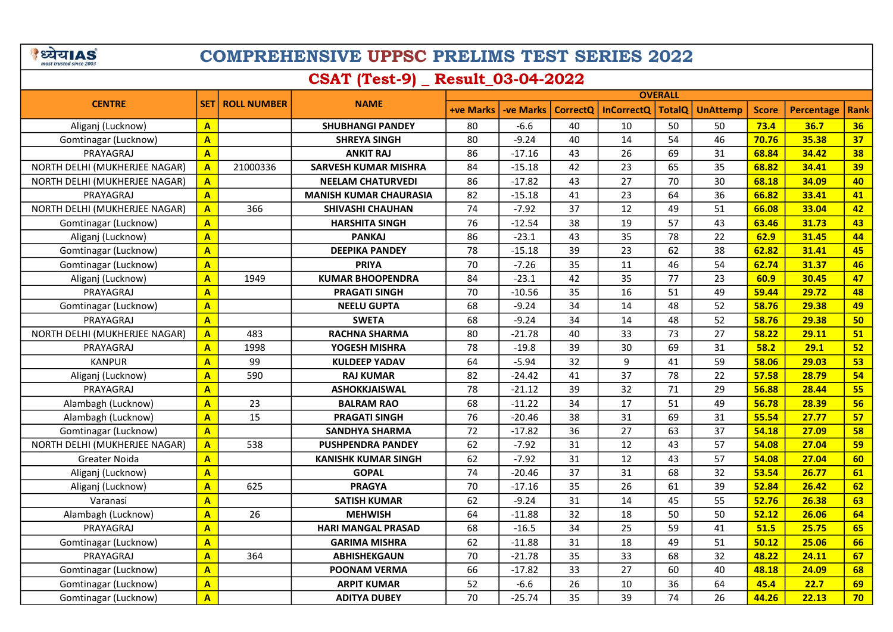े ध्येय AS

# COMPREHENSIVE UPPSC PRELIMS TEST SERIES 2022

## CSAT (Test-9) \_ Result\_03-04-2022

|                               |                         |                    |                               | <b>OVERALL</b>   |                  |                 |                   |               |                 |              |                   |             |
|-------------------------------|-------------------------|--------------------|-------------------------------|------------------|------------------|-----------------|-------------------|---------------|-----------------|--------------|-------------------|-------------|
| <b>CENTRE</b>                 | <b>SET</b>              | <b>ROLL NUMBER</b> | <b>NAME</b>                   | <b>+ve Marks</b> | <b>-ve Marks</b> | <b>CorrectO</b> | <b>InCorrectQ</b> | <b>TotalQ</b> | <b>UnAttemp</b> | <b>Score</b> | <b>Percentage</b> | <b>Rank</b> |
| Aliganj (Lucknow)             | $\mathbf{A}$            |                    | <b>SHUBHANGI PANDEY</b>       | 80               | $-6.6$           | 40              | 10                | 50            | 50              | 73.4         | 36.7              | 36          |
| Gomtinagar (Lucknow)          | $\overline{\mathbf{A}}$ |                    | <b>SHREYA SINGH</b>           | 80               | $-9.24$          | 40              | 14                | 54            | 46              | 70.76        | 35.38             | 37          |
| PRAYAGRAJ                     | $\overline{\mathbf{A}}$ |                    | <b>ANKIT RAJ</b>              | 86               | $-17.16$         | 43              | 26                | 69            | 31              | 68.84        | 34.42             | 38          |
| NORTH DELHI (MUKHERJEE NAGAR) | $\mathbf{A}$            | 21000336           | <b>SARVESH KUMAR MISHRA</b>   | 84               | $-15.18$         | 42              | 23                | 65            | 35              | 68.82        | 34.41             | 39          |
| NORTH DELHI (MUKHERJEE NAGAR) | $\overline{\mathbf{A}}$ |                    | <b>NEELAM CHATURVEDI</b>      | 86               | $-17.82$         | 43              | 27                | 70            | 30              | 68.18        | 34.09             | 40          |
| PRAYAGRAJ                     | $\overline{A}$          |                    | <b>MANISH KUMAR CHAURASIA</b> | 82               | $-15.18$         | 41              | 23                | 64            | 36              | 66.82        | 33.41             | 41          |
| NORTH DELHI (MUKHERJEE NAGAR) | $\overline{A}$          | 366                | <b>SHIVASHI CHAUHAN</b>       | 74               | $-7.92$          | 37              | 12                | 49            | 51              | 66.08        | 33.04             | 42          |
| Gomtinagar (Lucknow)          | A                       |                    | <b>HARSHITA SINGH</b>         | 76               | $-12.54$         | 38              | 19                | 57            | 43              | 63.46        | 31.73             | 43          |
| Aliganj (Lucknow)             | $\overline{\mathsf{A}}$ |                    | <b>PANKAJ</b>                 | 86               | $-23.1$          | 43              | 35                | 78            | 22              | 62.9         | 31.45             | 44          |
| Gomtinagar (Lucknow)          | $\mathbf{A}$            |                    | <b>DEEPIKA PANDEY</b>         | 78               | $-15.18$         | 39              | 23                | 62            | 38              | 62.82        | 31.41             | 45          |
| Gomtinagar (Lucknow)          | A                       |                    | <b>PRIYA</b>                  | 70               | $-7.26$          | 35              | 11                | 46            | 54              | 62.74        | 31.37             | 46          |
| Aliganj (Lucknow)             | $\mathbf{A}$            | 1949               | <b>KUMAR BHOOPENDRA</b>       | 84               | $-23.1$          | 42              | 35                | 77            | 23              | 60.9         | 30.45             | 47          |
| PRAYAGRAJ                     | A                       |                    | <b>PRAGATI SINGH</b>          | 70               | $-10.56$         | 35              | 16                | 51            | 49              | 59.44        | 29.72             | 48          |
| Gomtinagar (Lucknow)          | $\mathbf{A}$            |                    | <b>NEELU GUPTA</b>            | 68               | $-9.24$          | 34              | 14                | 48            | 52              | 58.76        | 29.38             | 49          |
| PRAYAGRAJ                     | $\overline{\mathsf{A}}$ |                    | <b>SWETA</b>                  | 68               | $-9.24$          | 34              | 14                | 48            | 52              | 58.76        | 29.38             | 50          |
| NORTH DELHI (MUKHERJEE NAGAR) | $\overline{\mathsf{A}}$ | 483                | <b>RACHNA SHARMA</b>          | 80               | $-21.78$         | 40              | 33                | 73            | 27              | 58.22        | 29.11             | 51          |
| PRAYAGRAJ                     | $\overline{\mathsf{A}}$ | 1998               | YOGESH MISHRA                 | 78               | $-19.8$          | 39              | 30                | 69            | 31              | 58.2         | 29.1              | 52          |
| <b>KANPUR</b>                 | A                       | 99                 | <b>KULDEEP YADAV</b>          | 64               | $-5.94$          | 32              | 9                 | 41            | 59              | 58.06        | 29.03             | 53          |
| Aliganj (Lucknow)             | $\overline{\mathsf{A}}$ | 590                | <b>RAJ KUMAR</b>              | 82               | $-24.42$         | 41              | 37                | 78            | 22              | 57.58        | 28.79             | 54          |
| PRAYAGRAJ                     | A                       |                    | <b>ASHOKKJAISWAL</b>          | 78               | $-21.12$         | 39              | 32                | 71            | 29              | 56.88        | 28.44             | 55          |
| Alambagh (Lucknow)            | $\mathbf{A}$            | 23                 | <b>BALRAM RAO</b>             | 68               | $-11.22$         | 34              | 17                | 51            | 49              | 56.78        | 28.39             | 56          |
| Alambagh (Lucknow)            | A                       | 15                 | <b>PRAGATI SINGH</b>          | 76               | $-20.46$         | 38              | 31                | 69            | 31              | 55.54        | 27.77             | 57          |
| Gomtinagar (Lucknow)          | $\mathbf{A}$            |                    | <b>SANDHYA SHARMA</b>         | 72               | $-17.82$         | 36              | 27                | 63            | 37              | 54.18        | 27.09             | 58          |
| NORTH DELHI (MUKHERJEE NAGAR) | $\overline{\mathbf{A}}$ | 538                | <b>PUSHPENDRA PANDEY</b>      | 62               | $-7.92$          | 31              | 12                | 43            | 57              | 54.08        | 27.04             | 59          |
| Greater Noida                 | $\overline{\mathbf{A}}$ |                    | <b>KANISHK KUMAR SINGH</b>    | 62               | $-7.92$          | 31              | 12                | 43            | 57              | 54.08        | 27.04             | 60          |
| Aliganj (Lucknow)             | $\overline{\mathsf{A}}$ |                    | <b>GOPAL</b>                  | 74               | $-20.46$         | 37              | 31                | 68            | 32              | 53.54        | 26.77             | 61          |
| Aliganj (Lucknow)             | $\overline{\mathsf{A}}$ | 625                | <b>PRAGYA</b>                 | 70               | $-17.16$         | 35              | 26                | 61            | 39              | 52.84        | 26.42             | 62          |
| Varanasi                      | $\overline{\mathsf{A}}$ |                    | <b>SATISH KUMAR</b>           | 62               | $-9.24$          | 31              | 14                | 45            | 55              | 52.76        | 26.38             | 63          |
| Alambagh (Lucknow)            | A                       | 26                 | <b>MEHWISH</b>                | 64               | $-11.88$         | 32              | 18                | 50            | 50              | 52.12        | 26.06             | 64          |
| PRAYAGRAJ                     | $\overline{\mathsf{A}}$ |                    | <b>HARI MANGAL PRASAD</b>     | 68               | $-16.5$          | 34              | 25                | 59            | 41              | 51.5         | 25.75             | 65          |
| Gomtinagar (Lucknow)          | A                       |                    | <b>GARIMA MISHRA</b>          | 62               | $-11.88$         | 31              | 18                | 49            | 51              | 50.12        | 25.06             | 66          |
| PRAYAGRAJ                     | $\overline{\mathsf{A}}$ | 364                | <b>ABHISHEKGAUN</b>           | 70               | $-21.78$         | 35              | 33                | 68            | 32              | 48.22        | 24.11             | 67          |
| Gomtinagar (Lucknow)          | $\mathbf{A}$            |                    | <b>POONAM VERMA</b>           | 66               | $-17.82$         | 33              | 27                | 60            | 40              | 48.18        | 24.09             | 68          |
| Gomtinagar (Lucknow)          | $\mathbf{A}$            |                    | <b>ARPIT KUMAR</b>            | 52               | $-6.6$           | 26              | 10                | 36            | 64              | 45.4         | 22.7              | 69          |
| Gomtinagar (Lucknow)          | $\overline{\mathbf{A}}$ |                    | <b>ADITYA DUBEY</b>           | 70               | $-25.74$         | 35              | 39                | 74            | 26              | 44.26        | 22.13             | 70          |